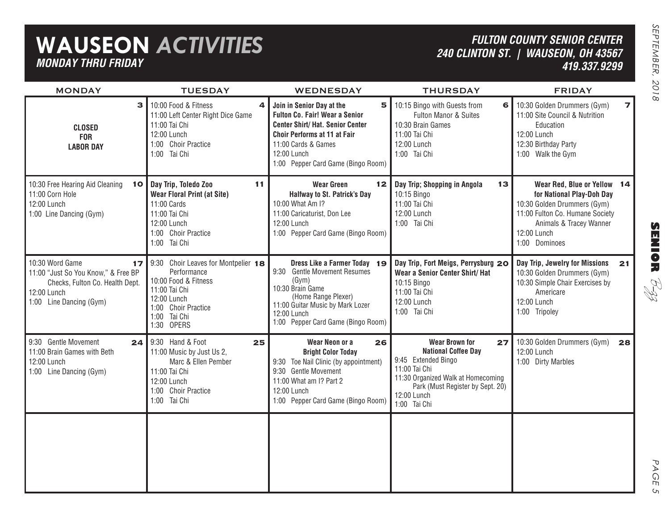## **WAUSEON** *ACTIVITIES MONDAY THRU FRIDAY*

### *FULTON COUNTY SENIOR CENTER240 CLINTON ST. | WAUSEON, OH 43567 419.337.9299*

| <b>MONDAY</b>                                                                                                                             | <b>TUESDAY</b>                                                                                                                                                     | WEDNESDAY                                                                                                                                                                                                       | <b>THURSDAY</b>                                                                                                                                                                                            | <b>FRIDAY</b>                                                                                                                                                                         |
|-------------------------------------------------------------------------------------------------------------------------------------------|--------------------------------------------------------------------------------------------------------------------------------------------------------------------|-----------------------------------------------------------------------------------------------------------------------------------------------------------------------------------------------------------------|------------------------------------------------------------------------------------------------------------------------------------------------------------------------------------------------------------|---------------------------------------------------------------------------------------------------------------------------------------------------------------------------------------|
| 3<br><b>CLOSED</b><br><b>FOR</b><br><b>LABOR DAY</b>                                                                                      | 10:00 Food & Fitness<br>4<br>11:00 Left Center Right Dice Game<br>11:00 Tai Chi<br>12:00 Lunch<br>1:00 Choir Practice<br>1:00 Tai Chi                              | Join in Senior Day at the<br>5<br>Fulton Co. Fair! Wear a Senior<br>Center Shirt/Hat. Senior Center<br>Choir Performs at 11 at Fair<br>11:00 Cards & Games<br>12:00 Lunch<br>1:00 Pepper Card Game (Bingo Room) | 10:15 Bingo with Guests from<br>6<br>Fulton Manor & Suites<br>10:30 Brain Games<br>11:00 Tai Chi<br>12:00 Lunch<br>1:00 Tai Chi                                                                            | 10:30 Golden Drummers (Gym)<br>$\overline{\mathbf{z}}$<br>11:00 Site Council & Nutrition<br>Education<br>12:00 Lunch<br>12:30 Birthday Party<br>1:00 Walk the Gym                     |
| 10:30 Free Hearing Aid Cleaning<br>10<br>11:00 Corn Hole<br>12:00 Lunch<br>1:00 Line Dancing (Gym)                                        | Day Trip, Toledo Zoo<br>11<br><b>Wear Floral Print (at Site)</b><br>11:00 Cards<br>11:00 Tai Chi<br>12:00 Lunch<br>1:00 Choir Practice<br>1:00 Tai Chi             | <b>Wear Green</b><br>12<br>Halfway to St. Patrick's Day<br>10:00 What Am I?<br>11:00 Caricaturist, Don Lee<br>12:00 Lunch<br>1:00 Pepper Card Game (Bingo Room)                                                 | Day Trip; Shopping in Angola<br>13<br>10:15 Bingo<br>11:00 Tai Chi<br>12:00 Lunch<br>1:00 Tai Chi                                                                                                          | Wear Red, Blue or Yellow 14<br>for National Play-Doh Day<br>10:30 Golden Drummers (Gym)<br>11:00 Fulton Co. Humane Society<br>Animals & Tracey Wanner<br>12:00 Lunch<br>1:00 Dominoes |
| 10:30 Word Game<br>17<br>11:00 "Just So You Know," & Free BP<br>Checks, Fulton Co. Health Dept.<br>12:00 Lunch<br>1:00 Line Dancing (Gym) | 9:30 Choir Leaves for Montpelier 18<br>Performance<br>10:00 Food & Fitness<br>11:00 Tai Chi<br>12:00 Lunch<br>1:00 Choir Practice<br>Tai Chi<br>1:00<br>1:30 OPERS | Dress Like a Farmer Today 19<br>9:30 Gentle Movement Resumes<br>(Gym)<br>10:30 Brain Game<br>(Home Range Plexer)<br>11:00 Guitar Music by Mark Lozer<br>12:00 Lunch<br>1:00 Pepper Card Game (Bingo Room)       | Day Trip, Fort Meigs, Perrysburg 20<br>Wear a Senior Center Shirt/ Hat<br>10:15 Bingo<br>11:00 Tai Chi<br>12:00 Lunch<br>1:00 Tai Chi                                                                      | Day Trip, Jewelry for Missions<br>21<br>10:30 Golden Drummers (Gym)<br>10:30 Simple Chair Exercises by<br>Americare<br>12:00 Lunch<br>1:00 Tripoley                                   |
| 9:30 Gentle Movement<br>24<br>11:00 Brain Games with Beth<br>12:00 Lunch<br>1:00 Line Dancing (Gym)                                       | 9:30 Hand & Foot<br>25<br>11:00 Music by Just Us 2,<br>Marc & Ellen Pember<br>11:00 Tai Chi<br>12:00 Lunch<br>1:00 Choir Practice<br>1:00 Tai Chi                  | Wear Neon or a<br>26<br><b>Bright Color Today</b><br>9:30 Toe Nail Clinic (by appointment)<br><b>Gentle Movement</b><br>9:30<br>11:00 What am I? Part 2<br>12:00 Lunch<br>1:00 Pepper Card Game (Bingo Room)    | <b>Wear Brown for</b><br>27<br><b>National Coffee Day</b><br>9:45 Extended Bingo<br>11:00 Tai Chi<br>11:30 Organized Walk at Homecoming<br>Park (Must Register by Sept. 20)<br>12:00 Lunch<br>1:00 Tai Chi | 10:30 Golden Drummers (Gym)<br>28<br>12:00 Lunch<br>1:00 Dirty Marbles                                                                                                                |
|                                                                                                                                           |                                                                                                                                                                    |                                                                                                                                                                                                                 |                                                                                                                                                                                                            |                                                                                                                                                                                       |

PAGE PAGE 5  $\mathsf{C}_{\mathsf{L}}$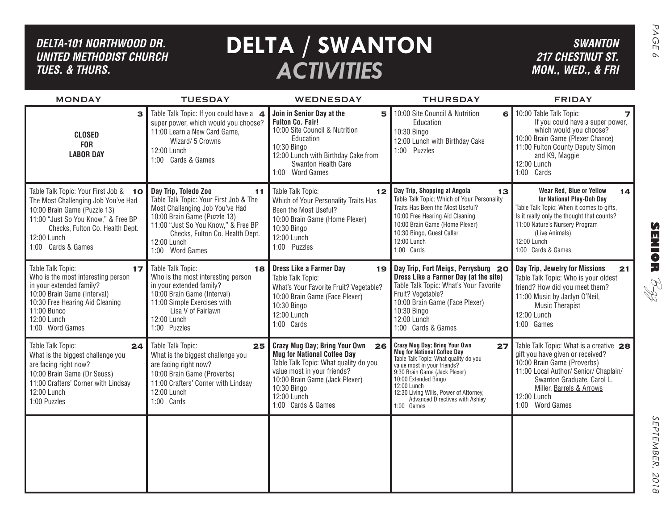| DELTA-101 NORTHWOOD DR.<br><b>UNITED METHODIST CHURCH</b><br><b>TUES. &amp; THURS.</b>                                                                                                                                      |                                                                                                                                                                                                                                                     | <b>DELTA / SWANTON</b><br><b>ACTIVITIES</b>                                                                                                                                                                                          |                                                                                                                                                                                                                                                                                                               | <b>SWANTON</b><br><b>217 CHESTNUT ST.</b><br>MON., WED., & FRI                                                                                                                                                                                  | PAGE<br>$\infty$                      |
|-----------------------------------------------------------------------------------------------------------------------------------------------------------------------------------------------------------------------------|-----------------------------------------------------------------------------------------------------------------------------------------------------------------------------------------------------------------------------------------------------|--------------------------------------------------------------------------------------------------------------------------------------------------------------------------------------------------------------------------------------|---------------------------------------------------------------------------------------------------------------------------------------------------------------------------------------------------------------------------------------------------------------------------------------------------------------|-------------------------------------------------------------------------------------------------------------------------------------------------------------------------------------------------------------------------------------------------|---------------------------------------|
| <b>MONDAY</b>                                                                                                                                                                                                               | <b>TUESDAY</b>                                                                                                                                                                                                                                      | WEDNESDAY                                                                                                                                                                                                                            | <b>THURSDAY</b>                                                                                                                                                                                                                                                                                               | <b>FRIDAY</b>                                                                                                                                                                                                                                   |                                       |
| 3<br><b>CLOSED</b><br><b>FOR</b><br><b>LABOR DAY</b>                                                                                                                                                                        | Table Talk Topic: If you could have a 4<br>super power, which would you choose?<br>11:00 Learn a New Card Game,<br>Wizard/ 5 Crowns<br>12:00 Lunch<br>1:00 Cards & Games                                                                            | Join in Senior Day at the<br>5<br><b>Fulton Co. Fair!</b><br>10:00 Site Council & Nutrition<br>Education<br>10:30 Bingo<br>12:00 Lunch with Birthday Cake from<br>Swanton Health Care<br>1:00 Word Games                             | 10:00 Site Council & Nutrition<br>6<br>Education<br>10:30 Bingo<br>12:00 Lunch with Birthday Cake<br>1:00 Puzzles                                                                                                                                                                                             | 10:00 Table Talk Topic:<br>If you could have a super power,<br>which would you choose?<br>10:00 Brain Game (Plexer Chance)<br>11:00 Fulton County Deputy Simon<br>and K9, Maggie<br>12:00 Lunch<br>1:00 Cards                                   |                                       |
| Table Talk Topic: Your First Job & 10<br>The Most Challenging Job You've Had<br>10:00 Brain Game (Puzzle 13)<br>11:00 "Just So You Know," & Free BP<br>Checks, Fulton Co. Health Dept.<br>12:00 Lunch<br>1:00 Cards & Games | Day Trip, Toledo Zoo<br>11<br>Table Talk Topic: Your First Job & The<br>Most Challenging Job You've Had<br>10:00 Brain Game (Puzzle 13)<br>11:00 "Just So You Know," & Free BP<br>Checks, Fulton Co. Health Dept.<br>12:00 Lunch<br>1:00 Word Games | Table Talk Topic:<br>12 <sub>2</sub><br>Which of Your Personality Traits Has<br>Been the Most Useful?<br>10:00 Brain Game (Home Plexer)<br>10:30 Bingo<br>12:00 Lunch<br>1:00 Puzzles                                                | Day Trip, Shopping at Angola<br>13<br>Table Talk Topic: Which of Your Personality<br>Traits Has Been the Most Useful?<br>10:00 Free Hearing Aid Cleaning<br>10:00 Brain Game (Home Plexer)<br>10:30 Bingo, Guest Caller<br>12:00 Lunch<br>1:00 Cards                                                          | Wear Red, Blue or Yellow<br>14<br>for National Play-Doh Day<br>Table Talk Topic: When it comes to gifts,<br>Is it really only the thought that counts?<br>11:00 Nature's Nursery Program<br>(Live Animals)<br>12:00 Lunch<br>1:00 Cards & Games | $\boldsymbol{\Omega}$<br><b>MNIOR</b> |
| Table Talk Topic:<br>17<br>Who is the most interesting person<br>in your extended family?<br>10:00 Brain Game (Interval)<br>10:30 Free Hearing Aid Cleaning<br>11:00 Bunco<br>12:00 Lunch<br>1:00 Word Games                | Table Talk Topic:<br>18<br>Who is the most interesting person<br>in your extended family?<br>10:00 Brain Game (Interval)<br>11:00 Simple Exercises with<br>Lisa V of Fairlawn<br>12:00 Lunch<br>1:00 Puzzles                                        | <b>Dress Like a Farmer Day</b><br>19<br>Table Talk Topic:<br>What's Your Favorite Fruit? Vegetable?<br>10:00 Brain Game (Face Plexer)<br>10:30 Bingo<br>12:00 Lunch<br>1:00 Cards                                                    | Day Trip, Fort Meigs, Perrysburg 20<br>Dress Like a Farmer Day (at the site)<br>Table Talk Topic: What's Your Favorite<br>Fruit? Vegetable?<br>10:00 Brain Game (Face Plexer)<br>10:30 Bingo<br>12:00 Lunch<br>1:00 Cards & Games                                                                             | Day Trip, Jewelry for Missions<br>21<br>Table Talk Topic: Who is your oldest<br>friend? How did you meet them?<br>11:00 Music by Jaclyn O'Neil,<br><b>Music Therapist</b><br>12:00 Lunch<br>1:00 Games                                          | RI<br>R                               |
| Table Talk Topic:<br>24<br>What is the biggest challenge you<br>are facing right now?<br>10:00 Brain Game (Dr Seuss)<br>11:00 Crafters' Corner with Lindsay<br>12:00 Lunch<br>1:00 Puzzles                                  | Table Talk Topic:<br>25<br>What is the biggest challenge you<br>are facing right now?<br>10:00 Brain Game (Proverbs)<br>11:00 Crafters' Corner with Lindsay<br>12:00 Lunch<br>1:00 Cards                                                            | Crazy Mug Day; Bring Your Own 26<br><b>Mug for National Coffee Day</b><br>Table Talk Topic: What quality do you<br>value most in your friends?<br>10:00 Brain Game (Jack Plexer)<br>10:30 Bingo<br>12:00 Lunch<br>1:00 Cards & Games | Crazy Mug Day; Bring Your Own<br>27<br>Mug for National Coffee Day<br>Table Talk Topic: What quality do you<br>value most in your friends?<br>9:30 Brain Game (Jack Plexer)<br>10:00 Extended Bingo<br>12:00 Lunch<br>12:30 Living Wills, Power of Attorney,<br>Advanced Directives with Ashley<br>1:00 Games | Table Talk Topic: What is a creative 28<br>gift you have given or received?<br>10:00 Brain Game (Proverbs)<br>11:00 Local Author/ Senior/ Chaplain/<br>Swanton Graduate, Carol L.<br>Miller, Barrels & Arrows<br>12:00 Lunch<br>1:00 Word Games |                                       |
|                                                                                                                                                                                                                             |                                                                                                                                                                                                                                                     |                                                                                                                                                                                                                                      |                                                                                                                                                                                                                                                                                                               |                                                                                                                                                                                                                                                 | SEPTEMBER,<br>2018                    |